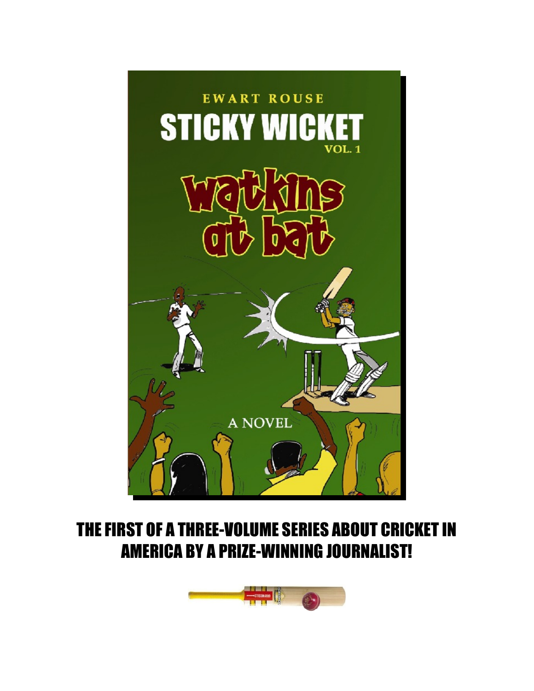

## THE FIRST OF A THREE-VOLUME SERIES ABOUT CRICKET IN AMERICA BY A PRIZE-WINNING JOURNALIST!